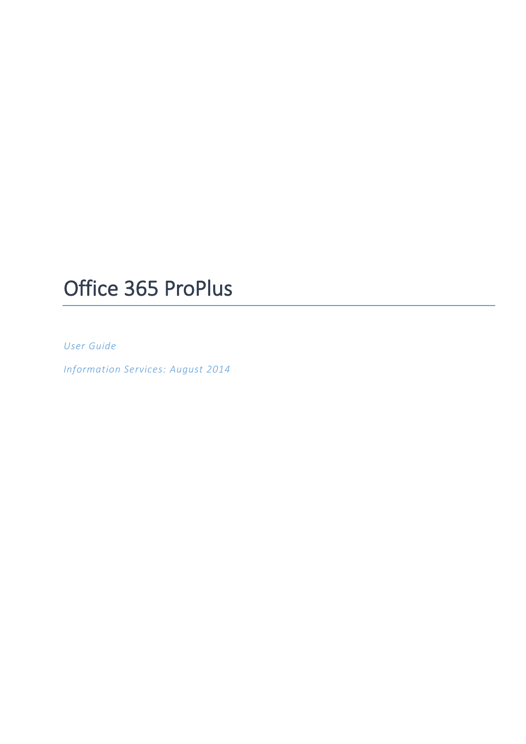# Office 365 ProPlus

*User Guide*

*Information Services: August 2014*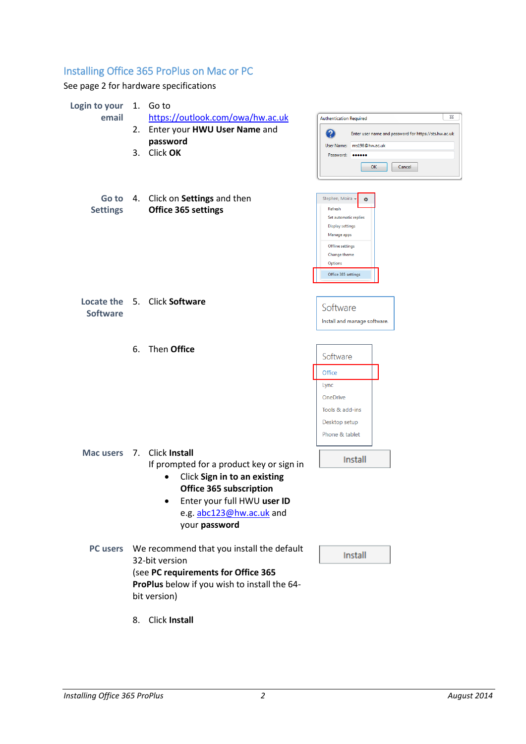# Installing Office 365 ProPlus on Mac or PC

See page 2 for hardware specifications

| Login to your                |    | 1. Goto                                      |                                                            |  |  |  |  |
|------------------------------|----|----------------------------------------------|------------------------------------------------------------|--|--|--|--|
| email                        |    | https://outlook.com/owa/hw.ac.uk             | ⊠<br><b>Authentication Required</b>                        |  |  |  |  |
|                              |    | 2. Enter your HWU User Name and              | 2<br>Enter user name and password for https://sts.hw.ac.uk |  |  |  |  |
|                              |    | password                                     | User Name: ms198@hw.ac.uk                                  |  |  |  |  |
|                              | 3. | Click OK                                     | Password: 000000                                           |  |  |  |  |
|                              |    |                                              | OK<br>Cancel                                               |  |  |  |  |
| Go to                        |    | 4. Click on Settings and then                | Stephen, Moira -<br>ø                                      |  |  |  |  |
| <b>Settings</b>              |    | Office 365 settings                          | Refresh                                                    |  |  |  |  |
|                              |    |                                              | Set automatic replies<br><b>Display settings</b>           |  |  |  |  |
|                              |    |                                              | Manage apps                                                |  |  |  |  |
|                              |    |                                              | <b>Offline settings</b>                                    |  |  |  |  |
|                              |    |                                              | Change theme<br><b>Options</b>                             |  |  |  |  |
|                              |    |                                              | Office 365 settings                                        |  |  |  |  |
|                              |    |                                              |                                                            |  |  |  |  |
| Locate the 5. Click Software |    |                                              |                                                            |  |  |  |  |
| <b>Software</b>              |    |                                              | Software                                                   |  |  |  |  |
|                              |    |                                              | Install and manage software.                               |  |  |  |  |
|                              |    |                                              |                                                            |  |  |  |  |
|                              | 6. | Then Office                                  |                                                            |  |  |  |  |
|                              |    |                                              | Software                                                   |  |  |  |  |
|                              |    |                                              | Office                                                     |  |  |  |  |
|                              |    |                                              | Lync                                                       |  |  |  |  |
|                              |    |                                              | OneDrive                                                   |  |  |  |  |
|                              |    |                                              | Tools & add-ins                                            |  |  |  |  |
|                              |    |                                              | Desktop setup                                              |  |  |  |  |
|                              |    |                                              | Phone & tablet                                             |  |  |  |  |
|                              |    | Mac users 7. Click Install                   |                                                            |  |  |  |  |
|                              |    | If prompted for a product key or sign in     | Install                                                    |  |  |  |  |
|                              |    | Click Sign in to an existing                 |                                                            |  |  |  |  |
|                              |    | Office 365 subscription                      |                                                            |  |  |  |  |
|                              |    | Enter your full HWU user ID<br>٠             |                                                            |  |  |  |  |
|                              |    | e.g. abc123@hw.ac.uk and                     |                                                            |  |  |  |  |
|                              |    | your password                                |                                                            |  |  |  |  |
|                              |    |                                              |                                                            |  |  |  |  |
| <b>PC users</b>              |    | We recommend that you install the default    |                                                            |  |  |  |  |
|                              |    | 32-bit version                               | Install                                                    |  |  |  |  |
|                              |    | (see PC requirements for Office 365          |                                                            |  |  |  |  |
|                              |    | ProPlus below if you wish to install the 64- |                                                            |  |  |  |  |
|                              |    | bit version)                                 |                                                            |  |  |  |  |
|                              |    |                                              |                                                            |  |  |  |  |
|                              | 8. | <b>Click Install</b>                         |                                                            |  |  |  |  |
|                              |    |                                              |                                                            |  |  |  |  |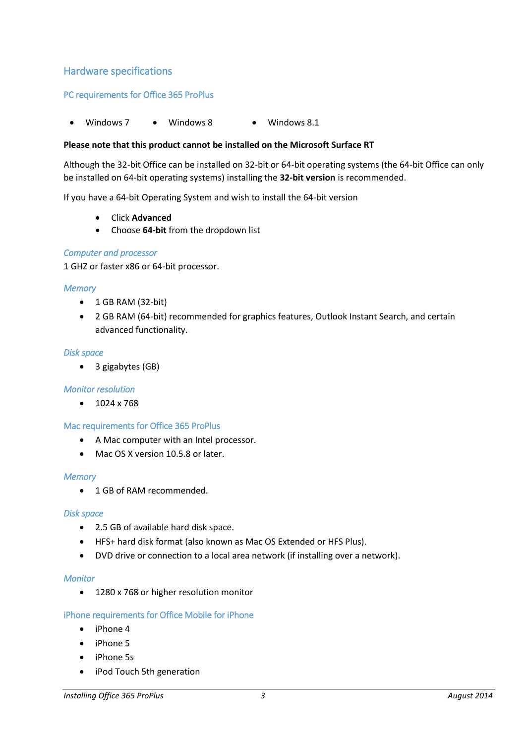### Hardware specifications

#### PC requirements for Office 365 ProPlus

Windows 7 • Windows 8 • Windows 8.1

#### **Please note that this product cannot be installed on the Microsoft Surface RT**

Although the 32-bit Office can be installed on 32-bit or 64-bit operating systems (the 64-bit Office can only be installed on 64-bit operating systems) installing the **32-bit version** is recommended.

If you have a 64-bit Operating System and wish to install the 64-bit version

- Click **Advanced**
- Choose **64-bit** from the dropdown list

#### *Computer and processor*

1 GHZ or faster x86 or 64-bit processor.

#### *Memory*

- $\bullet$  1 GB RAM (32-bit)
- 2 GB RAM (64-bit) recommended for graphics features, Outlook Instant Search, and certain advanced functionality.

#### *Disk space*

• 3 gigabytes (GB)

#### *Monitor resolution*

 $\bullet$  1024 x 768

#### Mac requirements for Office 365 ProPlus

- A Mac computer with an Intel processor.
- Mac OS X version 10.5.8 or later.

#### *Memory*

• 1 GB of RAM recommended.

#### *Disk space*

- 2.5 GB of available hard disk space.
- HFS+ hard disk format (also known as Mac OS Extended or HFS Plus).
- DVD drive or connection to a local area network (if installing over a network).

#### *Monitor*

• 1280 x 768 or higher resolution monitor

#### iPhone requirements for Office Mobile for iPhone

- iPhone 4
- iPhone 5
- iPhone 5s
- iPod Touch 5th generation